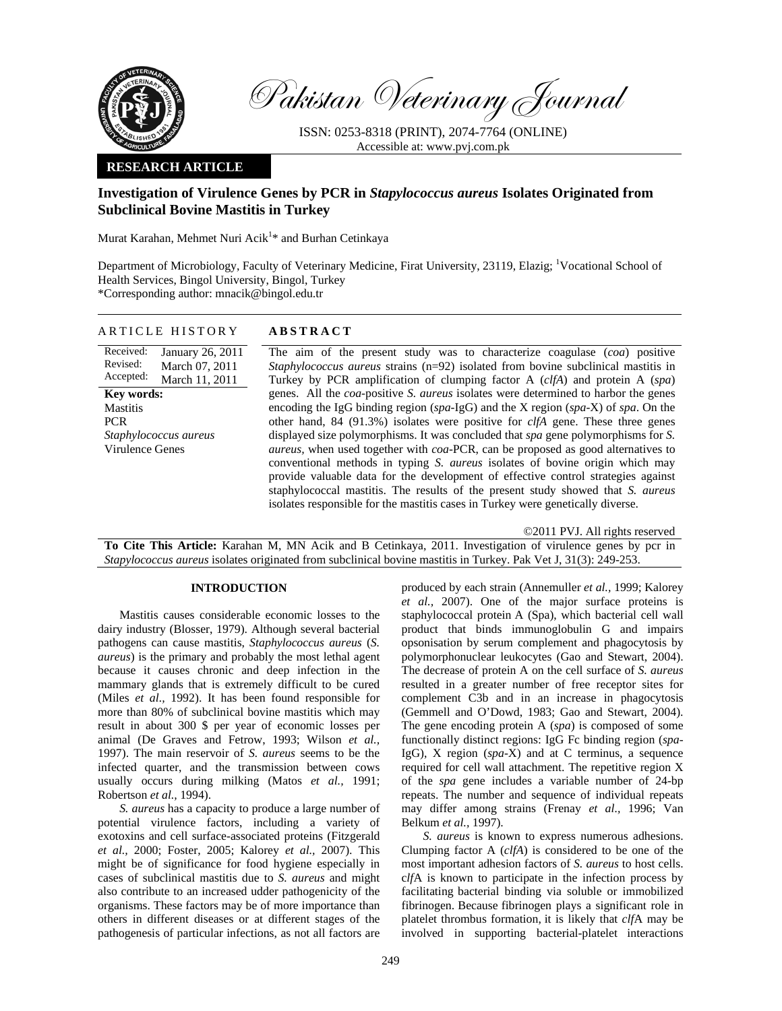

Pakistan Veterinary Journal

ISSN: 0253-8318 (PRINT), 2074-7764 (ONLINE) Accessible at: www.pvj.com.pk

# **RESEARCH ARTICLE**

# **Investigation of Virulence Genes by PCR in** *Stapylococcus aureus* **Isolates Originated from Subclinical Bovine Mastitis in Turkey**

Murat Karahan, Mehmet Nuri Acik<sup>1</sup>\* and Burhan Cetinkaya

Department of Microbiology, Faculty of Veterinary Medicine, Firat University, 23119, Elazig; <sup>1</sup>Vocational School of Health Services, Bingol University, Bingol, Turkey \*Corresponding author: mnacik@bingol.edu.tr

| ARTICLE HISTORY                                             | <b>ABSTRACT</b>                                                                                                                                                                                                                                                                                                                                                                                                                             |
|-------------------------------------------------------------|---------------------------------------------------------------------------------------------------------------------------------------------------------------------------------------------------------------------------------------------------------------------------------------------------------------------------------------------------------------------------------------------------------------------------------------------|
| Received:<br>January 26, 2011<br>Revised:<br>March 07, 2011 | The aim of the present study was to characterize coagulase (coa) positive<br>Staphylococcus aureus strains (n=92) isolated from bovine subclinical mastitis in                                                                                                                                                                                                                                                                              |
| Accepted:<br>March 11, 2011                                 | Turkey by PCR amplification of clumping factor A (clfA) and protein A (spa)                                                                                                                                                                                                                                                                                                                                                                 |
| <b>Key words:</b>                                           | genes. All the <i>coa</i> -positive <i>S. aureus</i> isolates were determined to harbor the genes                                                                                                                                                                                                                                                                                                                                           |
| <b>Mastitis</b>                                             | encoding the IgG binding region (spa-IgG) and the X region (spa-X) of spa. On the                                                                                                                                                                                                                                                                                                                                                           |
| PCR.                                                        | other hand, 84 (91.3%) isolates were positive for $c$ $t/A$ gene. These three genes                                                                                                                                                                                                                                                                                                                                                         |
| Staphylococcus aureus                                       | displayed size polymorphisms. It was concluded that spa gene polymorphisms for S.                                                                                                                                                                                                                                                                                                                                                           |
| Virulence Genes                                             | <i>aureus</i> , when used together with <i>coa</i> -PCR, can be proposed as good alternatives to<br>conventional methods in typing S. aureus isolates of bovine origin which may<br>provide valuable data for the development of effective control strategies against<br>staphylococcal mastitis. The results of the present study showed that S. aureus<br>isolates responsible for the mastitis cases in Turkey were genetically diverse. |

©2011 PVJ. All rights reserved **To Cite This Article:** Karahan M, MN Acik and B Cetinkaya, 2011. Investigation of virulence genes by pcr in *Stapylococcus aureus* isolates originated from subclinical bovine mastitis in Turkey. Pak Vet J, 31(3): 249-253.

### **INTRODUCTION**

Mastitis causes considerable economic losses to the dairy industry (Blosser, 1979). Although several bacterial pathogens can cause mastitis, *Staphylococcus aureus* (*S. aureus*) is the primary and probably the most lethal agent because it causes chronic and deep infection in the mammary glands that is extremely difficult to be cured (Miles *et al.,* 1992). It has been found responsible for more than 80% of subclinical bovine mastitis which may result in about 300 \$ per year of economic losses per animal (De Graves and Fetrow, 1993; Wilson *et al.,* 1997). The main reservoir of *S. aureus* seems to be the infected quarter, and the transmission between cows usually occurs during milking (Matos *et al.,* 1991; Robertson *et al.,* 1994).

*S. aureus* has a capacity to produce a large number of potential virulence factors, including a variety of exotoxins and cell surface-associated proteins (Fitzgerald *et al.,* 2000; Foster, 2005; Kalorey *et al.,* 2007). This might be of significance for food hygiene especially in cases of subclinical mastitis due to *S. aureus* and might also contribute to an increased udder pathogenicity of the organisms. These factors may be of more importance than others in different diseases or at different stages of the pathogenesis of particular infections, as not all factors are

produced by each strain (Annemuller *et al.,* 1999; Kalorey *et al.,* 2007). One of the major surface proteins is staphylococcal protein A (Spa), which bacterial cell wall product that binds immunoglobulin G and impairs opsonisation by serum complement and phagocytosis by polymorphonuclear leukocytes (Gao and Stewart, 2004). The decrease of protein A on the cell surface of *S. aureus* resulted in a greater number of free receptor sites for complement C3b and in an increase in phagocytosis (Gemmell and O'Dowd, 1983; Gao and Stewart, 2004). The gene encoding protein A (*spa*) is composed of some functionally distinct regions: IgG Fc binding region (*spa*-IgG), X region (*spa*-X) and at C terminus, a sequence required for cell wall attachment. The repetitive region X of the *spa* gene includes a variable number of 24-bp repeats. The number and sequence of individual repeats may differ among strains (Frenay *et al.,* 1996; Van Belkum *et al.,* 1997).

*S. aureus* is known to express numerous adhesions. Clumping factor A (*clfA*) is considered to be one of the most important adhesion factors of *S. aureus* to host cells. c*lf*A is known to participate in the infection process by facilitating bacterial binding via soluble or immobilized fibrinogen. Because fibrinogen plays a significant role in platelet thrombus formation, it is likely that *clf*A may be involved in supporting bacterial-platelet interactions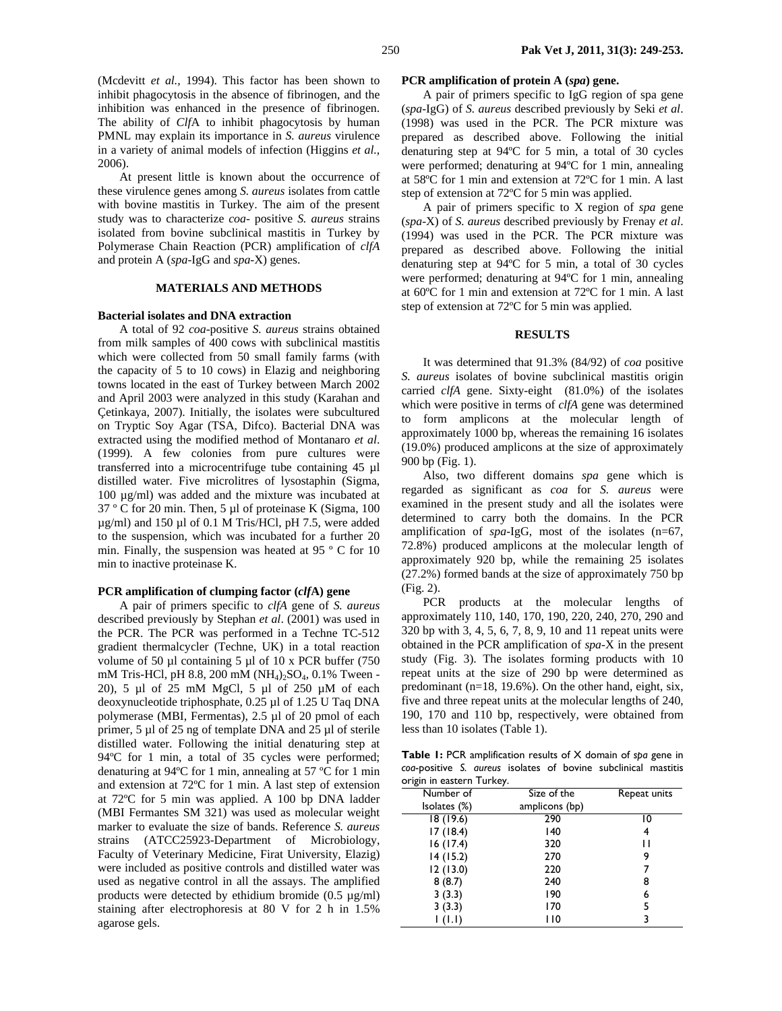(Mcdevitt *et al.,* 1994). This factor has been shown to inhibit phagocytosis in the absence of fibrinogen, and the inhibition was enhanced in the presence of fibrinogen. The ability of *Clf*A to inhibit phagocytosis by human PMNL may explain its importance in *S. aureus* virulence in a variety of animal models of infection (Higgins *et al.,* 2006).

At present little is known about the occurrence of these virulence genes among *S. aureus* isolates from cattle with bovine mastitis in Turkey. The aim of the present study was to characterize *coa*- positive *S. aureus* strains isolated from bovine subclinical mastitis in Turkey by Polymerase Chain Reaction (PCR) amplification of *clfA* and protein A (*spa*-IgG and *spa*-X) genes.

# **MATERIALS AND METHODS**

#### **Bacterial isolates and DNA extraction**

A total of 92 *coa*-positive *S. aureus* strains obtained from milk samples of 400 cows with subclinical mastitis which were collected from 50 small family farms (with the capacity of 5 to 10 cows) in Elazig and neighboring towns located in the east of Turkey between March 2002 and April 2003 were analyzed in this study (Karahan and Çetinkaya, 2007). Initially, the isolates were subcultured on Tryptic Soy Agar (TSA, Difco). Bacterial DNA was extracted using the modified method of Montanaro *et al*. (1999). A few colonies from pure cultures were transferred into a microcentrifuge tube containing 45 µl distilled water. Five microlitres of lysostaphin (Sigma, 100 µg/ml) was added and the mixture was incubated at 37 º C for 20 min. Then, 5 µl of proteinase K (Sigma, 100 µg/ml) and 150 µl of 0.1 M Tris/HCl, pH 7.5, were added to the suspension, which was incubated for a further 20 min. Finally, the suspension was heated at 95 º C for 10 min to inactive proteinase K.

#### **PCR amplification of clumping factor (***clf***A) gene**

A pair of primers specific to *clfA* gene of *S. aureus* described previously by Stephan *et al*. (2001) was used in the PCR. The PCR was performed in a Techne TC-512 gradient thermalcycler (Techne, UK) in a total reaction volume of 50  $\mu$ l containing 5  $\mu$ l of 10 x PCR buffer (750 mM Tris-HCl, pH 8.8, 200 mM (NH<sub>4</sub>)<sub>2</sub>SO<sub>4</sub>, 0.1% Tween -20), 5 µl of 25 mM MgCl, 5 µl of 250 µM of each deoxynucleotide triphosphate, 0.25 µl of 1.25 U Taq DNA polymerase (MBI, Fermentas), 2.5 µl of 20 pmol of each primer, 5 µl of 25 ng of template DNA and 25 µl of sterile distilled water. Following the initial denaturing step at 94ºC for 1 min, a total of 35 cycles were performed; denaturing at 94ºC for 1 min, annealing at 57 ºC for 1 min and extension at 72ºC for 1 min. A last step of extension at 72ºC for 5 min was applied. A 100 bp DNA ladder (MBI Fermantes SM 321) was used as molecular weight marker to evaluate the size of bands. Reference *S. aureus* strains (ATCC25923-Department of Microbiology, Faculty of Veterinary Medicine, Firat University, Elazig) were included as positive controls and distilled water was used as negative control in all the assays. The amplified products were detected by ethidium bromide  $(0.5 \mu g/ml)$ staining after electrophoresis at 80 V for 2 h in 1.5% agarose gels.

### **PCR amplification of protein A (***spa***) gene.**

A pair of primers specific to IgG region of spa gene (*spa*-IgG) of *S. aureus* described previously by Seki *et al*. (1998) was used in the PCR. The PCR mixture was prepared as described above. Following the initial denaturing step at 94ºC for 5 min, a total of 30 cycles were performed; denaturing at 94ºC for 1 min, annealing at 58ºC for 1 min and extension at 72ºC for 1 min. A last step of extension at 72ºC for 5 min was applied.

A pair of primers specific to X region of *spa* gene (*spa*-X) of *S. aureus* described previously by Frenay *et al*. (1994) was used in the PCR. The PCR mixture was prepared as described above. Following the initial denaturing step at 94ºC for 5 min, a total of 30 cycles were performed; denaturing at 94ºC for 1 min, annealing at 60ºC for 1 min and extension at 72ºC for 1 min. A last step of extension at 72ºC for 5 min was applied.

### **RESULTS**

It was determined that 91.3% (84/92) of *coa* positive *S. aureus* isolates of bovine subclinical mastitis origin carried *clfA* gene. Sixty-eight (81.0%) of the isolates which were positive in terms of *clfA* gene was determined to form amplicons at the molecular length of approximately 1000 bp, whereas the remaining 16 isolates (19.0%) produced amplicons at the size of approximately 900 bp (Fig. 1).

Also, two different domains *spa* gene which is regarded as significant as *coa* for *S. aureus* were examined in the present study and all the isolates were determined to carry both the domains. In the PCR amplification of *spa*-IgG, most of the isolates (n=67, 72.8%) produced amplicons at the molecular length of approximately 920 bp, while the remaining 25 isolates (27.2%) formed bands at the size of approximately 750 bp (Fig. 2).

PCR products at the molecular lengths of approximately 110, 140, 170, 190, 220, 240, 270, 290 and 320 bp with 3, 4, 5, 6, 7, 8, 9, 10 and 11 repeat units were obtained in the PCR amplification of *spa*-X in the present study (Fig. 3). The isolates forming products with 10 repeat units at the size of 290 bp were determined as predominant (n=18, 19.6%). On the other hand, eight, six, five and three repeat units at the molecular lengths of 240, 190, 170 and 110 bp, respectively, were obtained from less than 10 isolates (Table 1).

**Table 1:** PCR amplification results of X domain of *spa* gene in *coa*-positive *S. aureus* isolates of bovine subclinical mastitis origin in eastern Turkey.

| . הי         |                |              |
|--------------|----------------|--------------|
| Number of    | Size of the    | Repeat units |
| Isolates (%) | amplicons (bp) |              |
| 18(19.6)     | 290            | 10           |
| 17(18.4)     | 140            | 4            |
| 16(17.4)     | 320            | Н            |
| 14(15.2)     | 270            | 9            |
| 12(13.0)     | 220            |              |
| 8(8.7)       | 240            | 8            |
| 3(3.3)       | 190            | 6            |
| 3(3.3)       | 170            | 5            |
|              | 110            | ٦            |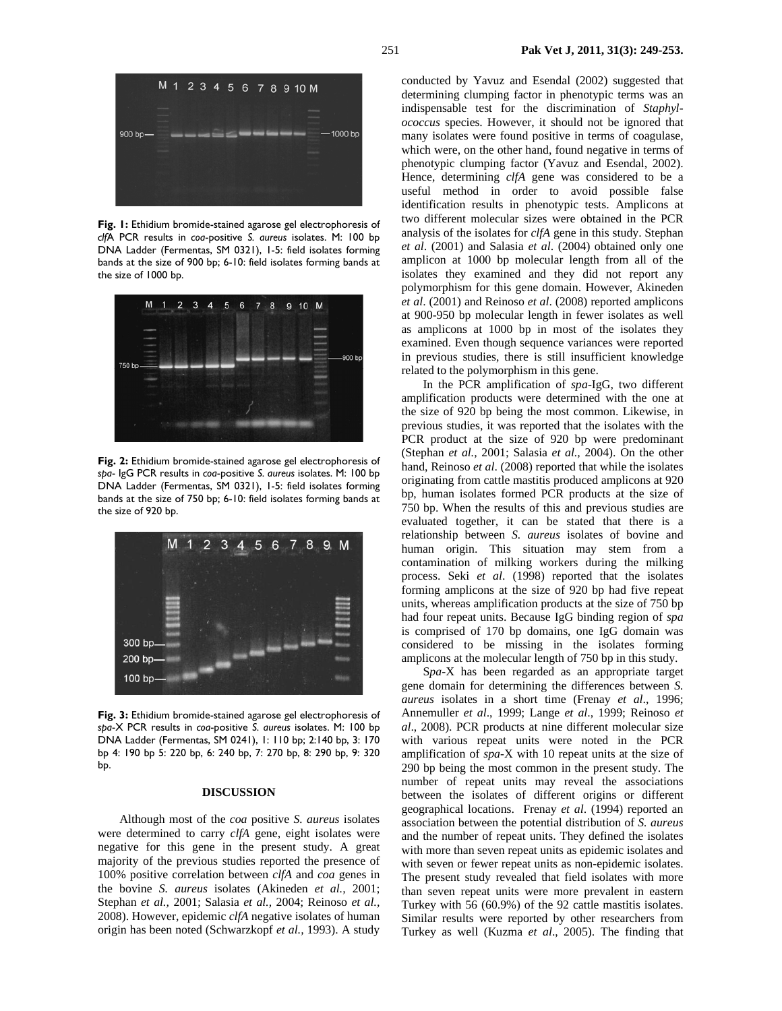

**Fig. 1:** Ethidium bromide-stained agarose gel electrophoresis of *clf*A PCR results in *coa*-positive *S. aureus* isolates. M: 100 bp DNA Ladder (Fermentas, SM 0321), 1-5: field isolates forming bands at the size of 900 bp; 6-10: field isolates forming bands at the size of 1000 bp.



**Fig. 2:** Ethidium bromide-stained agarose gel electrophoresis of *spa*- IgG PCR results in *coa*-positive *S. aureus* isolates. M: 100 bp DNA Ladder (Fermentas, SM 0321), 1-5: field isolates forming bands at the size of 750 bp; 6-10: field isolates forming bands at the size of 920 bp.



**Fig. 3:** Ethidium bromide-stained agarose gel electrophoresis of *spa*-X PCR results in *coa*-positive *S. aureus* isolates. M: 100 bp DNA Ladder (Fermentas, SM 0241), 1: 110 bp; 2:140 bp, 3: 170 bp 4: 190 bp 5: 220 bp, 6: 240 bp, 7: 270 bp, 8: 290 bp, 9: 320 bp.

# **DISCUSSION**

Although most of the *coa* positive *S. aureus* isolates were determined to carry *clfA* gene, eight isolates were negative for this gene in the present study. A great majority of the previous studies reported the presence of 100% positive correlation between *clfA* and *coa* genes in the bovine *S. aureus* isolates (Akineden *et al.,* 2001; Stephan *et al.,* 2001; Salasia *et al.,* 2004; Reinoso *et al.,* 2008). However, epidemic *clfA* negative isolates of human origin has been noted (Schwarzkopf *et al.,* 1993). A study

conducted by Yavuz and Esendal (2002) suggested that determining clumping factor in phenotypic terms was an indispensable test for the discrimination of *Staphylococcus* species. However, it should not be ignored that many isolates were found positive in terms of coagulase, which were, on the other hand, found negative in terms of phenotypic clumping factor (Yavuz and Esendal, 2002). Hence, determining *clfA* gene was considered to be a useful method in order to avoid possible false identification results in phenotypic tests. Amplicons at two different molecular sizes were obtained in the PCR analysis of the isolates for *clfA* gene in this study. Stephan *et al*. (2001) and Salasia *et al*. (2004) obtained only one amplicon at 1000 bp molecular length from all of the isolates they examined and they did not report any polymorphism for this gene domain. However, Akineden *et al*. (2001) and Reinoso *et al*. (2008) reported amplicons at 900-950 bp molecular length in fewer isolates as well as amplicons at 1000 bp in most of the isolates they examined. Even though sequence variances were reported in previous studies, there is still insufficient knowledge related to the polymorphism in this gene.

In the PCR amplification of *spa*-IgG, two different amplification products were determined with the one at the size of 920 bp being the most common. Likewise, in previous studies, it was reported that the isolates with the PCR product at the size of 920 bp were predominant (Stephan *et al.,* 2001; Salasia *et al.,* 2004). On the other hand, Reinoso *et al*. (2008) reported that while the isolates originating from cattle mastitis produced amplicons at 920 bp, human isolates formed PCR products at the size of 750 bp. When the results of this and previous studies are evaluated together, it can be stated that there is a relationship between *S. aureus* isolates of bovine and human origin. This situation may stem from a contamination of milking workers during the milking process. Seki *et al*. (1998) reported that the isolates forming amplicons at the size of 920 bp had five repeat units, whereas amplification products at the size of 750 bp had four repeat units. Because IgG binding region of *spa*  is comprised of 170 bp domains, one IgG domain was considered to be missing in the isolates forming amplicons at the molecular length of 750 bp in this study.

S*pa*-X has been regarded as an appropriate target gene domain for determining the differences between *S. aureus* isolates in a short time (Frenay *et al*., 1996; Annemuller *et al*., 1999; Lange *et al*., 1999; Reinoso *et al*., 2008). PCR products at nine different molecular size with various repeat units were noted in the PCR amplification of *spa*-X with 10 repeat units at the size of 290 bp being the most common in the present study. The number of repeat units may reveal the associations between the isolates of different origins or different geographical locations. Frenay *et al*. (1994) reported an association between the potential distribution of *S. aureus*  and the number of repeat units. They defined the isolates with more than seven repeat units as epidemic isolates and with seven or fewer repeat units as non-epidemic isolates. The present study revealed that field isolates with more than seven repeat units were more prevalent in eastern Turkey with 56 (60.9%) of the 92 cattle mastitis isolates. Similar results were reported by other researchers from Turkey as well (Kuzma *et al*., 2005). The finding that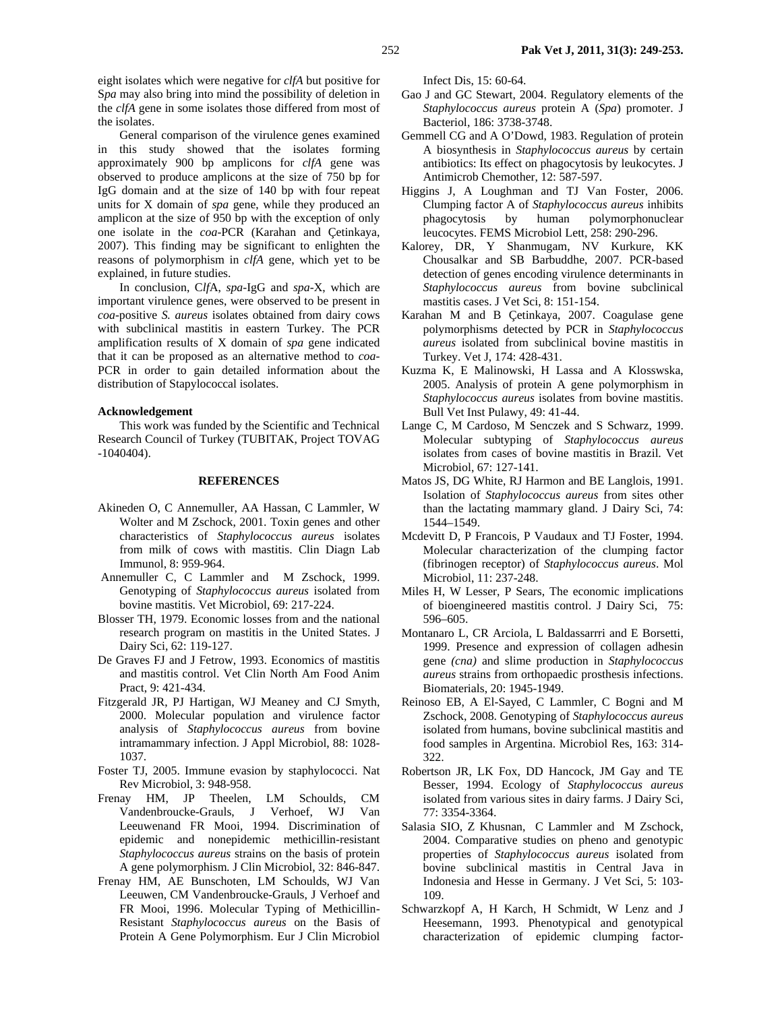eight isolates which were negative for *clfA* but positive for S*pa* may also bring into mind the possibility of deletion in the *clfA* gene in some isolates those differed from most of the isolates.

General comparison of the virulence genes examined in this study showed that the isolates forming approximately 900 bp amplicons for *clfA* gene was observed to produce amplicons at the size of 750 bp for IgG domain and at the size of 140 bp with four repeat units for X domain of *spa* gene, while they produced an amplicon at the size of 950 bp with the exception of only one isolate in the *coa-*PCR (Karahan and Çetinkaya, 2007). This finding may be significant to enlighten the reasons of polymorphism in *clfA* gene, which yet to be explained, in future studies.

In conclusion, C*lf*A, *spa*-IgG and *spa*-X, which are important virulence genes, were observed to be present in *coa*-positive *S. aureus* isolates obtained from dairy cows with subclinical mastitis in eastern Turkey. The PCR amplification results of X domain of *spa* gene indicated that it can be proposed as an alternative method to *coa-*PCR in order to gain detailed information about the distribution of Stapylococcal isolates.

# **Acknowledgement**

This work was funded by the Scientific and Technical Research Council of Turkey (TUBITAK, Project TOVAG -1040404).

# **REFERENCES**

- Akineden O, C Annemuller, AA Hassan, C Lammler, W Wolter and M Zschock, 2001. Toxin genes and other characteristics of *Staphylococcus aureus* isolates from milk of cows with mastitis. Clin Diagn Lab Immunol, 8: 959-964.
- Annemuller C, C Lammler and M Zschock, 1999. Genotyping of *Staphylococcus aureus* isolated from bovine mastitis. Vet Microbiol, 69: 217-224.
- Blosser TH, 1979. Economic losses from and the national research program on mastitis in the United States. J Dairy Sci, 62: 119-127.
- De Graves FJ and J Fetrow, 1993. Economics of mastitis and mastitis control. Vet Clin North Am Food Anim Pract, 9: 421-434.
- Fitzgerald JR, PJ Hartigan, WJ Meaney and CJ Smyth, 2000. Molecular population and virulence factor analysis of *Staphylococcus aureus* from bovine intramammary infection. J Appl Microbiol, 88: 1028- 1037.
- Foster TJ, 2005. Immune evasion by staphylococci. Nat Rev Microbiol, 3: 948-958.
- Frenay HM, JP Theelen, LM Schoulds, CM Vandenbroucke-Grauls, J Verhoef, WJ Van Leeuwenand FR Mooi, 1994. Discrimination of epidemic and nonepidemic methicillin-resistant *Staphylococcus aureus* strains on the basis of protein A gene polymorphism*.* J Clin Microbiol, 32: 846-847.
- Frenay HM, AE Bunschoten, LM Schoulds, WJ Van Leeuwen, CM Vandenbroucke-Grauls, J Verhoef and FR Mooi, 1996. Molecular Typing of Methicillin-Resistant *Staphylococcus aureus* on the Basis of Protein A Gene Polymorphism. Eur J Clin Microbiol

Infect Dis, 15: 60-64.

- Gao J and GC Stewart, 2004. Regulatory elements of the *Staphylococcus aureus* protein A (*Spa*) promoter. J Bacteriol, 186: 3738-3748.
- Gemmell CG and A O'Dowd, 1983. Regulation of protein A biosynthesis in *Staphylococcus aureus* by certain antibiotics: Its effect on phagocytosis by leukocytes. J Antimicrob Chemother, 12: 587-597.
- Higgins J, A Loughman and TJ Van Foster, 2006. Clumping factor A of *Staphylococcus aureus* inhibits phagocytosis by human polymorphonuclear leucocytes. FEMS Microbiol Lett, 258: 290-296.
- Kalorey, DR, Y Shanmugam, NV Kurkure, KK Chousalkar and SB Barbuddhe, 2007. PCR-based detection of genes encoding virulence determinants in *Staphylococcus aureus* from bovine subclinical mastitis cases. J Vet Sci, 8: 151-154.
- Karahan M and B Çetinkaya, 2007. Coagulase gene polymorphisms detected by PCR in *Staphylococcus aureus* isolated from subclinical bovine mastitis in Turkey. Vet J, 174: 428-431.
- Kuzma K, E Malinowski, H Lassa and A Klosswska, 2005. Analysis of protein A gene polymorphism in *Staphylococcus aureus* isolates from bovine mastitis. Bull Vet Inst Pulawy, 49: 41-44.
- Lange C, M Cardoso, M Senczek and S Schwarz, 1999. Molecular subtyping of *Staphylococcus aureus* isolates from cases of bovine mastitis in Brazil*.* Vet Microbiol, 67: 127-141.
- Matos JS, DG White, RJ Harmon and BE Langlois, 1991. Isolation of *Staphylococcus aureus* from sites other than the lactating mammary gland. J Dairy Sci, 74: 1544–1549.
- Mcdevitt D, P Francois, P Vaudaux and TJ Foster, 1994. Molecular characterization of the clumping factor (fibrinogen receptor) of *Staphylococcus aureus*. Mol Microbiol, 11: 237-248.
- Miles H, W Lesser, P Sears, The economic implications of bioengineered mastitis control. J Dairy Sci, 75: 596–605.
- Montanaro L, CR Arciola, L Baldassarrri and E Borsetti, 1999. Presence and expression of collagen adhesin gene *(cna)* and slime production in *Staphylococcus aureus* strains from orthopaedic prosthesis infections. Biomaterials, 20: 1945-1949.
- Reinoso EB, A El-Sayed, C Lammler, C Bogni and M Zschock, 2008. Genotyping of *Staphylococcus aureus* isolated from humans, bovine subclinical mastitis and food samples in Argentina. Microbiol Res, 163: 314- 322.
- Robertson JR, LK Fox, DD Hancock, JM Gay and TE Besser, 1994. Ecology of *Staphylococcus aureus* isolated from various sites in dairy farms. J Dairy Sci, 77: 3354-3364.
- Salasia SIO, Z Khusnan, C Lammler and M Zschock, 2004. Comparative studies on pheno and genotypic properties of *Staphylococcus aureus* isolated from bovine subclinical mastitis in Central Java in Indonesia and Hesse in Germany. J Vet Sci, 5: 103- 109.
- Schwarzkopf A, H Karch, H Schmidt, W Lenz and J Heesemann, 1993. Phenotypical and genotypical characterization of epidemic clumping factor-